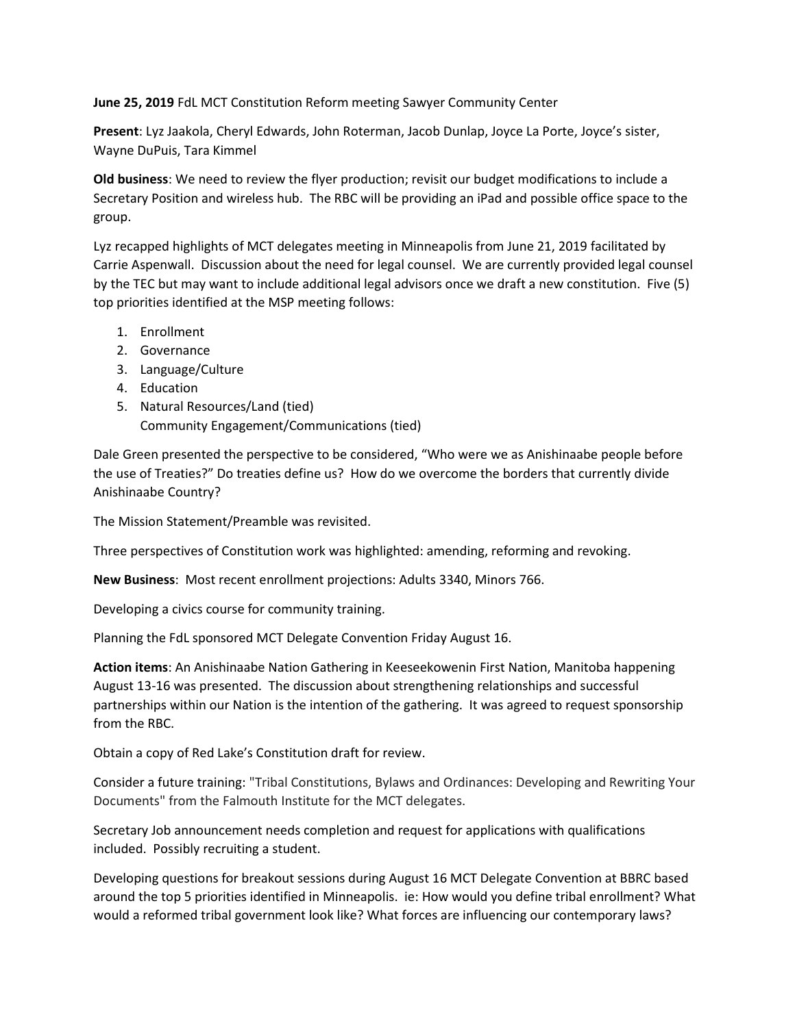June 25, 2019 FdL MCT Constitution Reform meeting Sawyer Community Center

Present: Lyz Jaakola, Cheryl Edwards, John Roterman, Jacob Dunlap, Joyce La Porte, Joyce's sister, Wayne DuPuis, Tara Kimmel

Old business: We need to review the flyer production; revisit our budget modifications to include a Secretary Position and wireless hub. The RBC will be providing an iPad and possible office space to the group.

Lyz recapped highlights of MCT delegates meeting in Minneapolis from June 21, 2019 facilitated by Carrie Aspenwall. Discussion about the need for legal counsel. We are currently provided legal counsel by the TEC but may want to include additional legal advisors once we draft a new constitution. Five (5) top priorities identified at the MSP meeting follows:

- 1. Enrollment
- 2. Governance
- 3. Language/Culture
- 4. Education
- 5. Natural Resources/Land (tied) Community Engagement/Communications (tied)

Dale Green presented the perspective to be considered, "Who were we as Anishinaabe people before the use of Treaties?" Do treaties define us? How do we overcome the borders that currently divide Anishinaabe Country?

The Mission Statement/Preamble was revisited.

Three perspectives of Constitution work was highlighted: amending, reforming and revoking.

New Business: Most recent enrollment projections: Adults 3340, Minors 766.

Developing a civics course for community training.

Planning the FdL sponsored MCT Delegate Convention Friday August 16.

Action items: An Anishinaabe Nation Gathering in Keeseekowenin First Nation, Manitoba happening August 13-16 was presented. The discussion about strengthening relationships and successful partnerships within our Nation is the intention of the gathering. It was agreed to request sponsorship from the RBC.

Obtain a copy of Red Lake's Constitution draft for review.

Consider a future training: "Tribal Constitutions, Bylaws and Ordinances: Developing and Rewriting Your Documents" from the Falmouth Institute for the MCT delegates.

Secretary Job announcement needs completion and request for applications with qualifications included. Possibly recruiting a student.

Developing questions for breakout sessions during August 16 MCT Delegate Convention at BBRC based around the top 5 priorities identified in Minneapolis. ie: How would you define tribal enrollment? What would a reformed tribal government look like? What forces are influencing our contemporary laws?